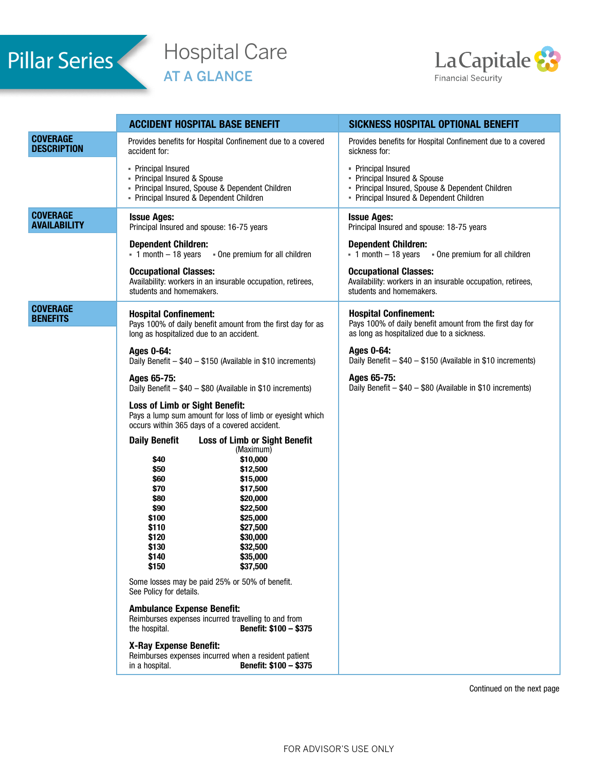# Pillar Series

## Hospital Care AT A GLANCE



|                                        | <b>ACCIDENT HOSPITAL BASE BENEFIT</b>                                                                                                                                                                                                                                                                                                                                                                                                                                                                                                                                                                                                                                             | SICKNESS HOSPITAL OPTIONAL BENEFIT                                                                                                              |
|----------------------------------------|-----------------------------------------------------------------------------------------------------------------------------------------------------------------------------------------------------------------------------------------------------------------------------------------------------------------------------------------------------------------------------------------------------------------------------------------------------------------------------------------------------------------------------------------------------------------------------------------------------------------------------------------------------------------------------------|-------------------------------------------------------------------------------------------------------------------------------------------------|
| <b>COVERAGE</b><br><b>DESCRIPTION</b>  | Provides benefits for Hospital Confinement due to a covered<br>accident for:                                                                                                                                                                                                                                                                                                                                                                                                                                                                                                                                                                                                      | Provides benefits for Hospital Confinement due to a covered<br>sickness for:                                                                    |
|                                        | • Principal Insured<br>- Principal Insured & Spouse<br>- Principal Insured, Spouse & Dependent Children<br>- Principal Insured & Dependent Children                                                                                                                                                                                                                                                                                                                                                                                                                                                                                                                               | • Principal Insured<br>Principal Insured & Spouse<br>Principal Insured, Spouse & Dependent Children<br>- Principal Insured & Dependent Children |
| <b>COVERAGE</b><br><b>AVAILABILITY</b> | <b>Issue Ages:</b><br>Principal Insured and spouse: 16-75 years                                                                                                                                                                                                                                                                                                                                                                                                                                                                                                                                                                                                                   | <b>Issue Ages:</b><br>Principal Insured and spouse: 18-75 years                                                                                 |
|                                        | <b>Dependent Children:</b><br>$\overline{1}$ month $-18$ years<br>- One premium for all children                                                                                                                                                                                                                                                                                                                                                                                                                                                                                                                                                                                  | <b>Dependent Children:</b><br>$\overline{1}$ month - 18 years<br>. One premium for all children                                                 |
|                                        | <b>Occupational Classes:</b><br>Availability: workers in an insurable occupation, retirees,<br>students and homemakers.                                                                                                                                                                                                                                                                                                                                                                                                                                                                                                                                                           | <b>Occupational Classes:</b><br>Availability: workers in an insurable occupation, retirees,<br>students and homemakers.                         |
| <b>COVERAGE</b><br><b>BENEFITS</b>     | <b>Hospital Confinement:</b><br>Pays 100% of daily benefit amount from the first day for as<br>long as hospitalized due to an accident.                                                                                                                                                                                                                                                                                                                                                                                                                                                                                                                                           | <b>Hospital Confinement:</b><br>Pays 100% of daily benefit amount from the first day for<br>as long as hospitalized due to a sickness.          |
|                                        | Ages 0-64:<br>Daily Benefit - \$40 - \$150 (Available in \$10 increments)                                                                                                                                                                                                                                                                                                                                                                                                                                                                                                                                                                                                         | Ages 0-64:<br>Daily Benefit - \$40 - \$150 (Available in \$10 increments)                                                                       |
|                                        | Ages 65-75:<br>Daily Benefit - \$40 - \$80 (Available in \$10 increments)                                                                                                                                                                                                                                                                                                                                                                                                                                                                                                                                                                                                         | Ages 65-75:<br>Daily Benefit - \$40 - \$80 (Available in \$10 increments)                                                                       |
|                                        | <b>Loss of Limb or Sight Benefit:</b><br>Pays a lump sum amount for loss of limb or eyesight which<br>occurs within 365 days of a covered accident.                                                                                                                                                                                                                                                                                                                                                                                                                                                                                                                               |                                                                                                                                                 |
|                                        | <b>Daily Benefit</b><br><b>Loss of Limb or Sight Benefit</b><br>(Maximum)<br>\$10,000<br>\$40<br>\$12,500<br>\$50<br>\$15,000<br>\$60<br>\$70<br>\$17,500<br>\$20,000<br>\$80<br>\$22,500<br>\$90<br>\$100<br>\$25,000<br>\$110<br>\$27,500<br>\$120<br>\$30,000<br>\$130<br>\$32,500<br>\$140<br>\$35,000<br>\$150<br>\$37,500<br>Some losses may be paid 25% or 50% of benefit.<br>See Policy for details.<br><b>Ambulance Expense Benefit:</b><br>Reimburses expenses incurred travelling to and from<br>the hospital.<br>Benefit: \$100 - \$375<br>X-Ray Expense Benefit:<br>Reimburses expenses incurred when a resident patient<br>Benefit: \$100 - \$375<br>in a hospital. |                                                                                                                                                 |
|                                        |                                                                                                                                                                                                                                                                                                                                                                                                                                                                                                                                                                                                                                                                                   | Continued on the next page                                                                                                                      |